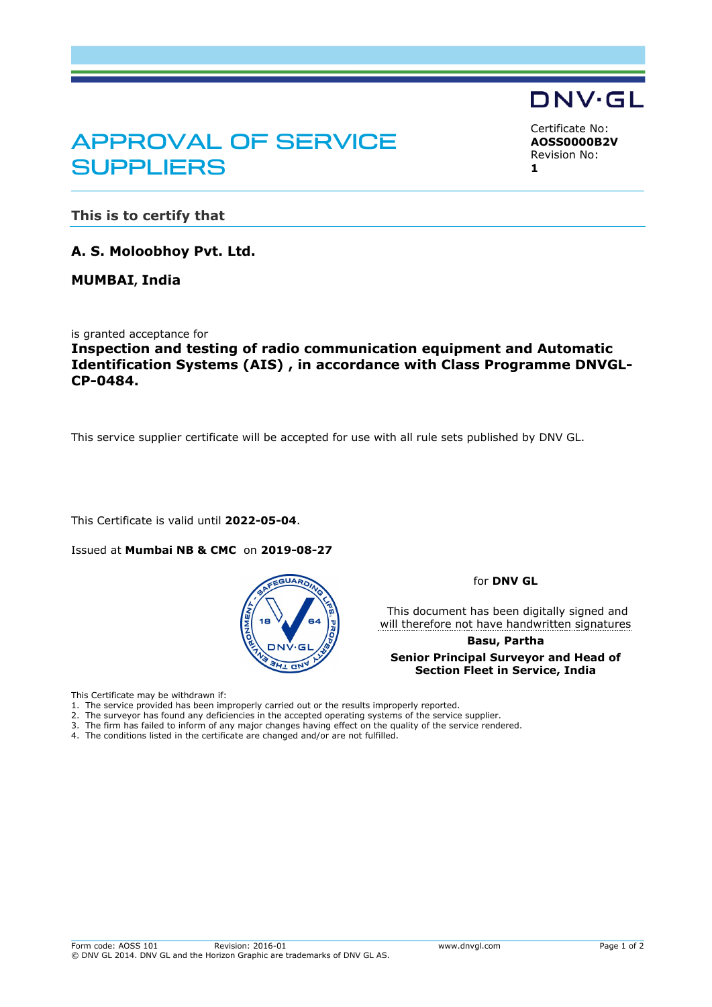## APPROVAL OF SERVICE SUPPLIERS

<span id="page-0-2"></span><span id="page-0-1"></span><span id="page-0-0"></span>Certificate No: **AOSS0000B2V** Revision No: **1**

DNV·GL

**This is to certify that**

**A. S. Moloobhoy Pvt. Ltd.**

**MUMBAI, India**

is granted acceptance for

**Inspection and testing of radio communication equipment and Automatic Identification Systems (AIS) , in accordance with Class Programme DNVGL-CP-0484.**

This service supplier certificate will be accepted for use with all rule sets published by DNV GL.

This Certificate is valid until **2022-05-04**.

Issued at **Mumbai NB & CMC** on **2019-08-27** 



for **DNV GL**

 This document has been digitally signed and will therefore not have handwritten signatures

**Basu, Partha Senior Principal Surveyor and Head of Section Fleet in Service, India**

This Certificate may be withdrawn if:

1. The service provided has been improperly carried out or the results improperly reported.

2. The surveyor has found any deficiencies in the accepted operating systems of the service supplier.

3. The firm has failed to inform of any major changes having effect on the quality of the service rendered.

4. The conditions listed in the certificate are changed and/or are not fulfilled.